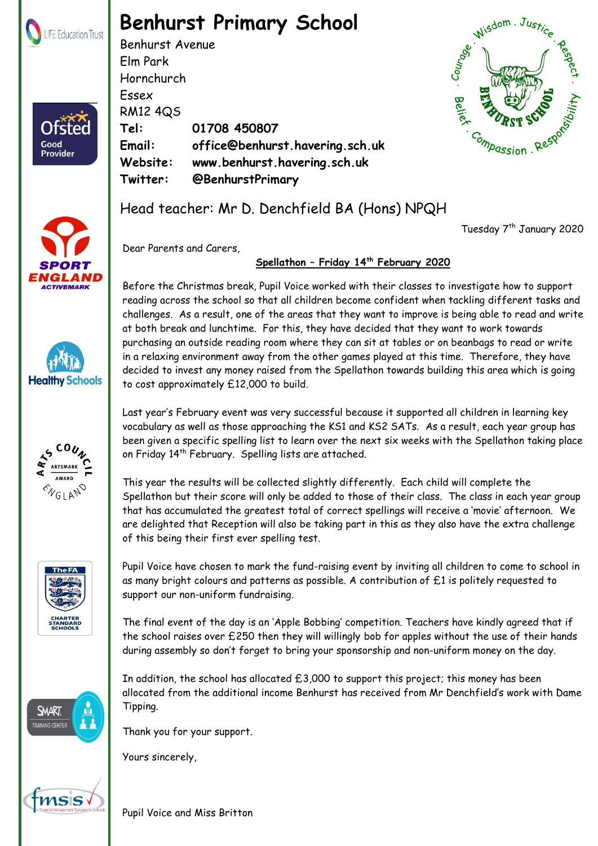

Ofster

Good Provider

## **Benhurst Primary School**

Benhurst Avenue Elm Park Hornchurch Essex RM12 4QS **Tel: 01708 450807 Email: office@benhurst.havering.sch.uk Website: www.benhurst.havering.sch.uk Twitter: @BenhurstPrimary**



Tuesday 7<sup>th</sup> January 2020













Head teacher: Mr D. Denchfield BA (Hons) NPQH

Dear Parents and Carers,

## **Spellathon – Friday 14th February 2020**

Before the Christmas break, Pupil Voice worked with their classes to investigate how to support reading across the school so that all children become confident when tackling different tasks and challenges. As a result, one of the areas that they want to improve is being able to read and write at both break and lunchtime. For this, they have decided that they want to work towards purchasing an outside reading room where they can sit at tables or on beanbags to read or write in a relaxing environment away from the other games played at this time. Therefore, they have decided to invest any money raised from the Spellathon towards building this area which is going to cost approximately £12,000 to build.

Last year's February event was very successful because it supported all children in learning key vocabulary as well as those approaching the KS1 and KS2 SATs. As a result, each year group has been given a specific spelling list to learn over the next six weeks with the Spellathon taking place on Friday 14<sup>th</sup> February. Spelling lists are attached.

This year the results will be collected slightly differently. Each child will complete the Spellathon but their score will only be added to those of their class. The class in each year group that has accumulated the greatest total of correct spellings will receive a 'movie' afternoon. We are delighted that Reception will also be taking part in this as they also have the extra challenge of this being their first ever spelling test.

Pupil Voice have chosen to mark the fund-raising event by inviting all children to come to school in as many bright colours and patterns as possible. A contribution of £1 is politely requested to support our non-uniform fundraising.

The final event of the day is an 'Apple Bobbing' competition. Teachers have kindly agreed that if the school raises over £250 then they will willingly bob for apples without the use of their hands during assembly so don't forget to bring your sponsorship and non-uniform money on the day.

In addition, the school has allocated  $£3,000$  to support this project; this money has been allocated from the additional income Benhurst has received from Mr Denchfield's work with Dame Tipping.

 $\mathcal{B}$  . The life Education Trust. Registered in England  $\mathcal{B}$ 

Thank you for your support.

Yours sincerely,

 Registered Address: The Frances Bardsley Academy for Girls, Brentwood Road, Romford. Essex. RM1 2RR Pupil Voice and Miss Britton